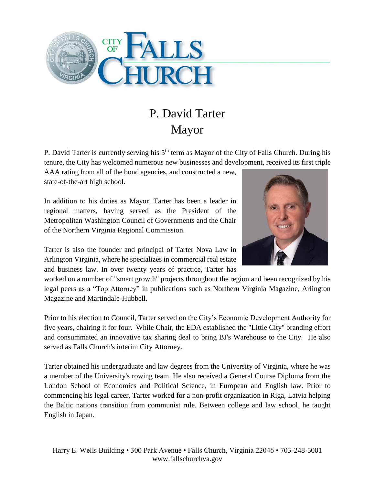

## P. David Tarter Mayor

P. David Tarter is currently serving his 5<sup>th</sup> term as Mayor of the City of Falls Church. During his tenure, the City has welcomed numerous new businesses and development, received its first triple

AAA rating from all of the bond agencies, and constructed a new, state-of-the-art high school.

In addition to his duties as Mayor, Tarter has been a leader in regional matters, having served as the President of the Metropolitan Washington Council of Governments and the Chair of the Northern Virginia Regional Commission.

Tarter is also the founder and principal of Tarter Nova Law in Arlington Virginia, where he specializes in commercial real estate and business law. In over twenty years of practice, Tarter has



worked on a number of "smart growth" projects throughout the region and been recognized by his legal peers as a "Top Attorney" in publications such as Northern Virginia Magazine, Arlington Magazine and Martindale-Hubbell.

Prior to his election to Council, Tarter served on the City's Economic Development Authority for five years, chairing it for four. While Chair, the EDA established the "Little City" branding effort and consummated an innovative tax sharing deal to bring BJ's Warehouse to the City. He also served as Falls Church's interim City Attorney.

Tarter obtained his undergraduate and law degrees from the University of Virginia, where he was a member of the University's rowing team. He also received a General Course Diploma from the London School of Economics and Political Science, in European and English law. Prior to commencing his legal career, Tarter worked for a non-profit organization in Riga, Latvia helping the Baltic nations transition from communist rule. Between college and law school, he taught English in Japan.